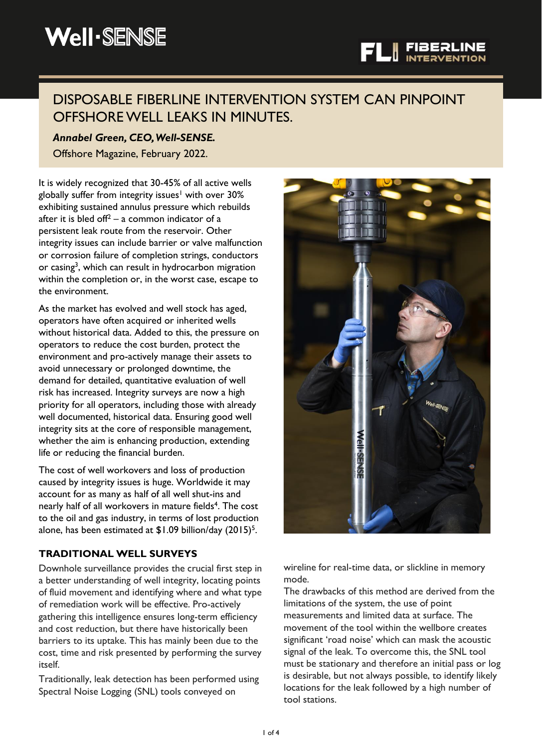# DISPOSABLE FIBERLINE INTERVENTION SYSTEM CAN PINPOINT OFFSHORE WELL LEAKS IN MINUTES.

# *Annabel Green, CEO, Well-SENSE.*

Offshore Magazine, February 2022.

It is widely recognized that 30-45% of all active wells globally suffer from integrity issues<sup>1</sup> with over 30% exhibiting sustained annulus pressure which rebuilds after it is bled of  $f^2$  – a common indicator of a persistent leak route from the reservoir. Other integrity issues can include barrier or valve malfunction or corrosion failure of completion strings, conductors or casing<sup>3</sup>, which can result in hydrocarbon migration within the completion or, in the worst case, escape to the environment.

As the market has evolved and well stock has aged, operators have often acquired or inherited wells without historical data. Added to this, the pressure on operators to reduce the cost burden, protect the environment and pro-actively manage their assets to avoid unnecessary or prolonged downtime, the demand for detailed, quantitative evaluation of well risk has increased. Integrity surveys are now a high priority for all operators, including those with already well documented, historical data. Ensuring good well integrity sits at the core of responsible management, whether the aim is enhancing production, extending life or reducing the financial burden.

The cost of well workovers and loss of production caused by integrity issues is huge. Worldwide it may account for as many as half of all well shut-ins and nearly half of all workovers in mature fields<sup>4</sup>. The cost to the oil and gas industry, in terms of lost production alone, has been estimated at  $$1.09$  billion/day  $(2015)^5$ .

## **TRADITIONAL WELL SURVEYS**

Downhole surveillance provides the crucial first step in a better understanding of well integrity, locating points of fluid movement and identifying where and what type of remediation work will be effective. Pro-actively gathering this intelligence ensures long-term efficiency and cost reduction, but there have historically been barriers to its uptake. This has mainly been due to the cost, time and risk presented by performing the survey itself.

Traditionally, leak detection has been performed using Spectral Noise Logging (SNL) tools conveyed on



wireline for real-time data, or slickline in memory mode.

The drawbacks of this method are derived from the limitations of the system, the use of point measurements and limited data at surface. The movement of the tool within the wellbore creates significant 'road noise' which can mask the acoustic signal of the leak. To overcome this, the SNL tool must be stationary and therefore an initial pass or log is desirable, but not always possible, to identify likely locations for the leak followed by a high number of tool stations.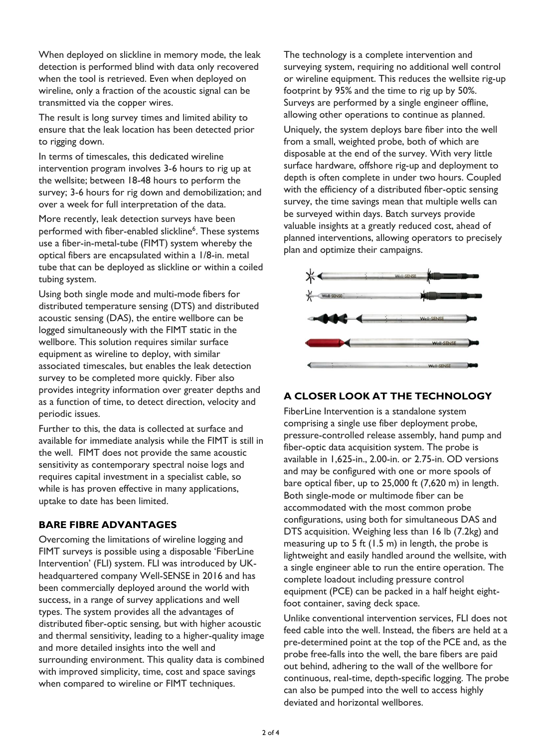When deployed on slickline in memory mode, the leak detection is performed blind with data only recovered when the tool is retrieved. Even when deployed on wireline, only a fraction of the acoustic signal can be transmitted via the copper wires.

The result is long survey times and limited ability to ensure that the leak location has been detected prior to rigging down.

In terms of timescales, this dedicated wireline intervention program involves 3-6 hours to rig up at the wellsite; between 18-48 hours to perform the survey; 3-6 hours for rig down and demobilization; and over a week for full interpretation of the data.

More recently, leak detection surveys have been performed with fiber-enabled slickline<sup>6</sup>. These systems use a fiber-in-metal-tube (FIMT) system whereby the optical fibers are encapsulated within a 1/8-in. metal tube that can be deployed as slickline or within a coiled tubing system.

Using both single mode and multi-mode fibers for distributed temperature sensing (DTS) and distributed acoustic sensing (DAS), the entire wellbore can be logged simultaneously with the FIMT static in the wellbore. This solution requires similar surface equipment as wireline to deploy, with similar associated timescales, but enables the leak detection survey to be completed more quickly. Fiber also provides integrity information over greater depths and as a function of time, to detect direction, velocity and periodic issues.

Further to this, the data is collected at surface and available for immediate analysis while the FIMT is still in the well. FIMT does not provide the same acoustic sensitivity as contemporary spectral noise logs and requires capital investment in a specialist cable, so while is has proven effective in many applications, uptake to date has been limited.

## **BARE FIBRE ADVANTAGES**

Overcoming the limitations of wireline logging and FIMT surveys is possible using a disposable 'FiberLine Intervention' (FLI) system. FLI was introduced by UKheadquartered company Well-SENSE in 2016 and has been commercially deployed around the world with success, in a range of survey applications and well types. The system provides all the advantages of distributed fiber-optic sensing, but with higher acoustic and thermal sensitivity, leading to a higher-quality image and more detailed insights into the well and surrounding environment. This quality data is combined with improved simplicity, time, cost and space savings when compared to wireline or FIMT techniques.

The technology is a complete intervention and surveying system, requiring no additional well control or wireline equipment. This reduces the wellsite rig-up footprint by 95% and the time to rig up by 50%. Surveys are performed by a single engineer offline, allowing other operations to continue as planned.

Uniquely, the system deploys bare fiber into the well from a small, weighted probe, both of which are disposable at the end of the survey. With very little surface hardware, offshore rig-up and deployment to depth is often complete in under two hours. Coupled with the efficiency of a distributed fiber-optic sensing survey, the time savings mean that multiple wells can be surveyed within days. Batch surveys provide valuable insights at a greatly reduced cost, ahead of planned interventions, allowing operators to precisely plan and optimize their campaigns.



## **A CLOSER LOOK AT THE TECHNOLOGY**

FiberLine Intervention is a standalone system comprising a single use fiber deployment probe, pressure-controlled release assembly, hand pump and fiber-optic data acquisition system. The probe is available in 1,625-in., 2.00-in. or 2.75-in. OD versions and may be configured with one or more spools of bare optical fiber, up to 25,000 ft (7,620 m) in length. Both single-mode or multimode fiber can be accommodated with the most common probe configurations, using both for simultaneous DAS and DTS acquisition. Weighing less than 16 lb (7.2kg) and measuring up to 5 ft (1.5 m) in length, the probe is lightweight and easily handled around the wellsite, with a single engineer able to run the entire operation. The complete loadout including pressure control equipment (PCE) can be packed in a half height eightfoot container, saving deck space.

Unlike conventional intervention services, FLI does not feed cable into the well. Instead, the fibers are held at a pre-determined point at the top of the PCE and, as the probe free-falls into the well, the bare fibers are paid out behind, adhering to the wall of the wellbore for continuous, real-time, depth-specific logging. The probe can also be pumped into the well to access highly deviated and horizontal wellbores.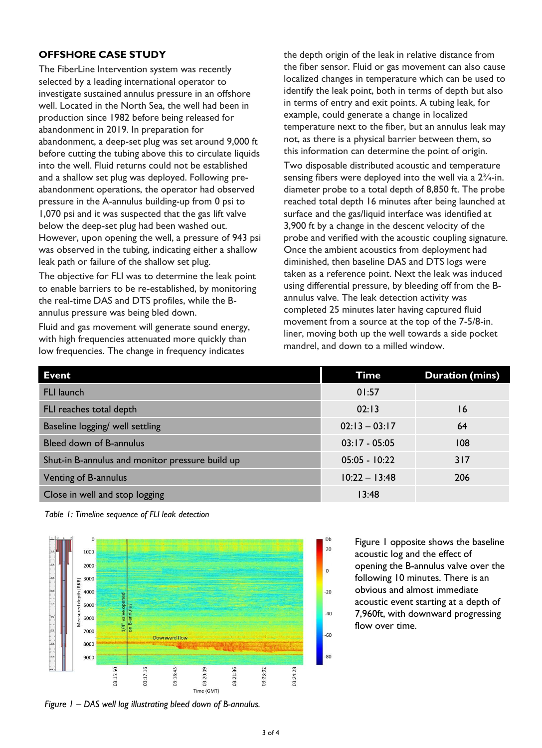#### **OFFSHORE CASE STUDY**

The FiberLine Intervention system was recently selected by a leading international operator to investigate sustained annulus pressure in an offshore well. Located in the North Sea, the well had been in production since 1982 before being released for abandonment in 2019. In preparation for abandonment, a deep-set plug was set around 9,000 ft before cutting the tubing above this to circulate liquids into the well. Fluid returns could not be established and a shallow set plug was deployed. Following preabandonment operations, the operator had observed pressure in the A-annulus building-up from 0 psi to 1,070 psi and it was suspected that the gas lift valve below the deep-set plug had been washed out. However, upon opening the well, a pressure of 943 psi was observed in the tubing, indicating either a shallow leak path or failure of the shallow set plug.

The objective for FLI was to determine the leak point to enable barriers to be re-established, by monitoring the real-time DAS and DTS profiles, while the Bannulus pressure was being bled down.

Fluid and gas movement will generate sound energy, with high frequencies attenuated more quickly than low frequencies. The change in frequency indicates

the depth origin of the leak in relative distance from the fiber sensor. Fluid or gas movement can also cause localized changes in temperature which can be used to identify the leak point, both in terms of depth but also in terms of entry and exit points. A tubing leak, for example, could generate a change in localized temperature next to the fiber, but an annulus leak may not, as there is a physical barrier between them, so this information can determine the point of origin.

Two disposable distributed acoustic and temperature sensing fibers were deployed into the well via a 2<sup>3</sup>/<sub>4</sub>-in. diameter probe to a total depth of 8,850 ft. The probe reached total depth 16 minutes after being launched at surface and the gas/liquid interface was identified at 3,900 ft by a change in the descent velocity of the probe and verified with the acoustic coupling signature. Once the ambient acoustics from deployment had diminished, then baseline DAS and DTS logs were taken as a reference point. Next the leak was induced using differential pressure, by bleeding off from the Bannulus valve. The leak detection activity was completed 25 minutes later having captured fluid movement from a source at the top of the 7-5/8-in. liner, moving both up the well towards a side pocket mandrel, and down to a milled window.

| <b>Event</b>                                    | Time            | <b>Duration (mins)</b> |
|-------------------------------------------------|-----------------|------------------------|
| <b>FLI launch</b>                               | 01:57           |                        |
| FLI reaches total depth                         | 02:13           | 16                     |
| Baseline logging/ well settling                 | $02:13 - 03:17$ | 64                     |
| Bleed down of B-annulus                         | $03:17 - 05:05$ | 108                    |
| Shut-in B-annulus and monitor pressure build up | $05:05 - 10:22$ | 317                    |
| Venting of B-annulus                            | $10:22 - 13:48$ | 206                    |
| Close in well and stop logging                  | 13:48           |                        |

20

 $\Omega$ 

 $-20$ 

 $-40$ 

 $-60$ 

 $-80$ 

*Table 1: Timeline sequence of FLI leak detection*



Figure 1 opposite shows the baseline acoustic log and the effect of opening the B-annulus valve over the following 10 minutes. There is an obvious and almost immediate acoustic event starting at a depth of 7,960ft, with downward progressing flow over time.

*Figure 1 – DAS well log illustrating bleed down of B-annulus.*